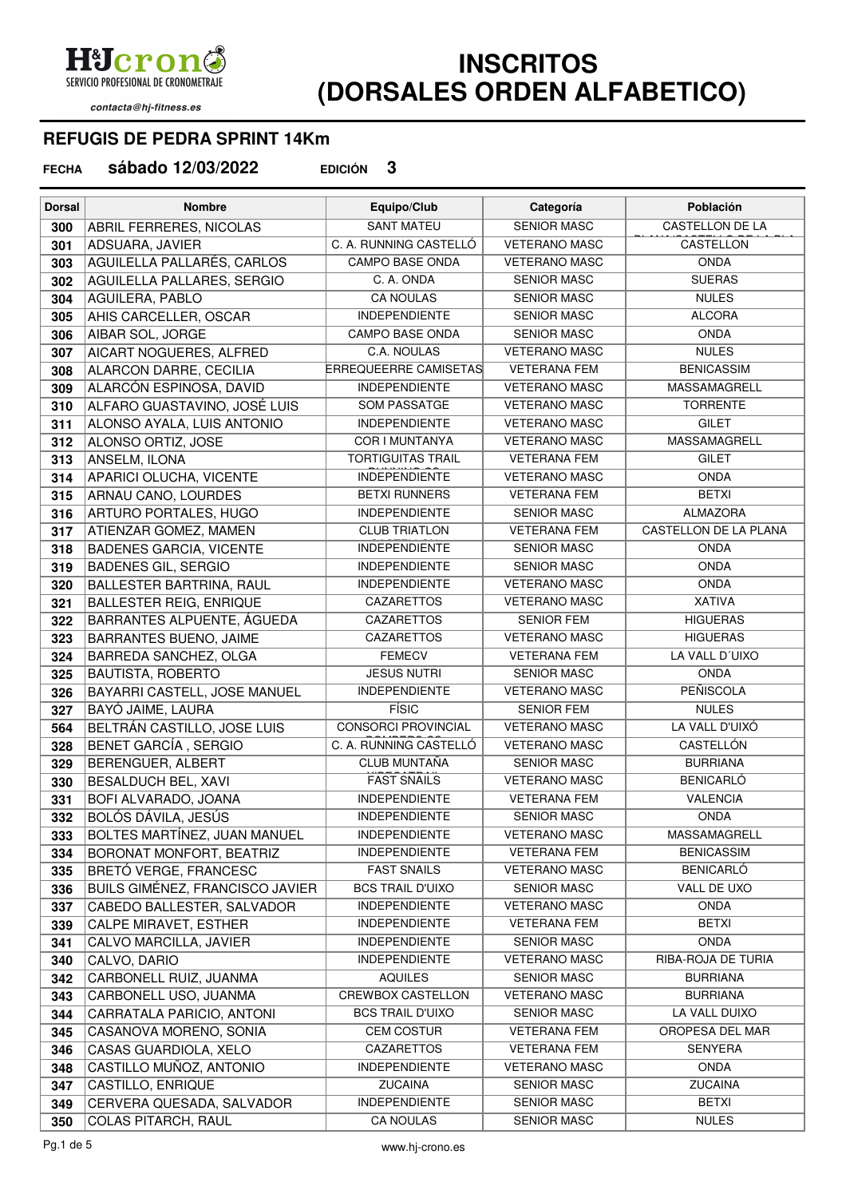**H**Ucron SERVICIO PROFESIONAL DE CRONOMETRAJE

contacta@hj-fitness.es

## **INSCRITOS (DORSALES ORDEN ALFABETICO)**

## **REFUGIS DE PEDRA SPRINT 14Km**

**sábado 12/03/2022 EDICIÓN 3 FECHA**

| <b>Dorsal</b> | <b>Nombre</b>                                            | Equipo/Club                                  | Categoría                                   | Población                             |
|---------------|----------------------------------------------------------|----------------------------------------------|---------------------------------------------|---------------------------------------|
| 300           | ABRIL FERRERES, NICOLAS                                  | <b>SANT MATEU</b>                            | <b>SENIOR MASC</b>                          | CASTELLON DE LA                       |
| 301           | ADSUARA, JAVIER                                          | C. A. RUNNING CASTELLÓ                       | <b>VETERANO MASC</b>                        | CASTELLON                             |
| 303           | AGUILELLA PALLARÉS, CARLOS                               | CAMPO BASE ONDA                              | <b>VETERANO MASC</b>                        | <b>ONDA</b>                           |
| 302           | AGUILELLA PALLARES, SERGIO                               | C. A. ONDA                                   | <b>SENIOR MASC</b>                          | <b>SUERAS</b>                         |
| 304           | AGUILERA, PABLO                                          | <b>CA NOULAS</b>                             | <b>SENIOR MASC</b>                          | <b>NULES</b>                          |
| 305           | AHIS CARCELLER, OSCAR                                    | <b>INDEPENDIENTE</b>                         | <b>SENIOR MASC</b>                          | <b>ALCORA</b>                         |
| 306           | AIBAR SOL, JORGE                                         | <b>CAMPO BASE ONDA</b>                       | <b>SENIOR MASC</b>                          | <b>ONDA</b>                           |
| 307           | AICART NOGUERES, ALFRED                                  | C.A. NOULAS                                  | <b>VETERANO MASC</b>                        | <b>NULES</b>                          |
| 308           | ALARCON DARRE, CECILIA                                   | <b>ERREQUEERRE CAMISETAS</b>                 | <b>VETERANA FEM</b>                         | <b>BENICASSIM</b>                     |
| 309           | ALARCÓN ESPINOSA, DAVID                                  | <b>INDEPENDIENTE</b>                         | <b>VETERANO MASC</b>                        | MASSAMAGRELL                          |
| 310           | ALFARO GUASTAVINO, JOSÉ LUIS                             | <b>SOM PASSATGE</b>                          | <b>VETERANO MASC</b>                        | <b>TORRENTE</b>                       |
| 311           | ALONSO AYALA, LUIS ANTONIO                               | <b>INDEPENDIENTE</b>                         | <b>VETERANO MASC</b>                        | <b>GILET</b>                          |
| 312           | ALONSO ORTIZ, JOSE                                       | COR I MUNTANYA                               | <b>VETERANO MASC</b>                        | MASSAMAGRELL                          |
| 313           | ANSELM, ILONA                                            | <b>TORTIGUITAS TRAIL</b>                     | <b>VETERANA FEM</b>                         | <b>GILET</b>                          |
| 314           | APARICI OLUCHA, VICENTE                                  | <b>INDEPENDIENTE</b>                         | <b>VETERANO MASC</b>                        | <b>ONDA</b>                           |
| 315           | ARNAU CANO, LOURDES                                      | <b>BETXI RUNNERS</b>                         | <b>VETERANA FEM</b>                         | <b>BETXI</b>                          |
| 316           | ARTURO PORTALES, HUGO                                    | <b>INDEPENDIENTE</b>                         | <b>SENIOR MASC</b>                          | <b>ALMAZORA</b>                       |
| 317           | ATIENZAR GOMEZ, MAMEN                                    | <b>CLUB TRIATLON</b>                         | <b>VETERANA FEM</b>                         | CASTELLON DE LA PLANA                 |
| 318           | <b>BADENES GARCIA, VICENTE</b>                           | <b>INDEPENDIENTE</b>                         | <b>SENIOR MASC</b>                          | <b>ONDA</b>                           |
| 319           | <b>BADENES GIL, SERGIO</b>                               | <b>INDEPENDIENTE</b>                         | <b>SENIOR MASC</b>                          | <b>ONDA</b>                           |
| 320           | <b>BALLESTER BARTRINA, RAUL</b>                          | <b>INDEPENDIENTE</b>                         | <b>VETERANO MASC</b>                        | <b>ONDA</b>                           |
| 321           | <b>BALLESTER REIG, ENRIQUE</b>                           | CAZARETTOS                                   | <b>VETERANO MASC</b>                        | <b>XATIVA</b>                         |
| 322           | BARRANTES ALPUENTE, ÁGUEDA                               | CAZARETTOS                                   | <b>SENIOR FEM</b>                           | <b>HIGUERAS</b>                       |
| 323           | BARRANTES BUENO, JAIME                                   | CAZARETTOS                                   | <b>VETERANO MASC</b>                        | <b>HIGUERAS</b>                       |
| 324           | BARREDA SANCHEZ, OLGA                                    | <b>FEMECV</b>                                | <b>VETERANA FEM</b>                         | LA VALL D'UIXO                        |
| 325           | BAUTISTA, ROBERTO                                        | <b>JESUS NUTRI</b>                           | <b>SENIOR MASC</b>                          | <b>ONDA</b>                           |
| 326           | BAYARRI CASTELL, JOSE MANUEL                             | <b>INDEPENDIENTE</b>                         | <b>VETERANO MASC</b>                        | <b>PEÑISCOLA</b>                      |
| 327           | BAYÓ JAIME, LAURA                                        | <b>FÍSIC</b>                                 | <b>SENIOR FEM</b>                           | <b>NULES</b>                          |
| 564           | BELTRÁN CASTILLO, JOSE LUIS                              | <b>CONSORCI PROVINCIAL</b>                   | <b>VETERANO MASC</b>                        | LA VALL D'UIXÓ                        |
| 328           | <b>BENET GARCÍA, SERGIO</b>                              | C. A. RUNNING CASTELLÓ                       | <b>VETERANO MASC</b>                        | <b>CASTELLÓN</b>                      |
| 329           | BERENGUER, ALBERT                                        | CLUB MUNTAÑA                                 | <b>SENIOR MASC</b>                          | <b>BURRIANA</b>                       |
| 330           | BESALDUCH BEL, XAVI                                      | <b>FAST SNAILS</b>                           | <b>VETERANO MASC</b>                        | <b>BENICARLÓ</b>                      |
| 331           | BOFI ALVARADO, JOANA                                     | <b>INDEPENDIENTE</b>                         | <b>VETERANA FEM</b>                         | <b>VALENCIA</b>                       |
| 332           | BOLÓS DÁVILA, JESÚS                                      | <b>INDEPENDIENTE</b>                         | <b>SENIOR MASC</b>                          | <b>ONDA</b>                           |
| 333           | BOLTES MARTÍNEZ, JUAN MANUEL                             | <b>INDEPENDIENTE</b><br><b>INDEPENDIENTE</b> | <b>VETERANO MASC</b>                        | MASSAMAGRELL                          |
| 334           | BORONAT MONFORT, BEATRIZ                                 | <b>FAST SNAILS</b>                           | <b>VETERANA FEM</b><br><b>VETERANO MASC</b> | <b>BENICASSIM</b><br><b>BENICARLÓ</b> |
| 335<br>336    | BRETÓ VERGE, FRANCESC<br>BUILS GIMÉNEZ, FRANCISCO JAVIER | <b>BCS TRAIL D'UIXO</b>                      | <b>SENIOR MASC</b>                          | VALL DE UXO                           |
| 337           | CABEDO BALLESTER, SALVADOR                               | <b>INDEPENDIENTE</b>                         | <b>VETERANO MASC</b>                        | <b>ONDA</b>                           |
| 339           | CALPE MIRAVET, ESTHER                                    | <b>INDEPENDIENTE</b>                         | <b>VETERANA FEM</b>                         | <b>BETXI</b>                          |
| 341           | CALVO MARCILLA, JAVIER                                   | <b>INDEPENDIENTE</b>                         | <b>SENIOR MASC</b>                          | <b>ONDA</b>                           |
| 340           | CALVO, DARIO                                             | <b>INDEPENDIENTE</b>                         | <b>VETERANO MASC</b>                        | RIBA-ROJA DE TURIA                    |
| 342           | CARBONELL RUIZ, JUANMA                                   | <b>AQUILES</b>                               | <b>SENIOR MASC</b>                          | <b>BURRIANA</b>                       |
| 343           | CARBONELL USO, JUANMA                                    | CREWBOX CASTELLON                            | <b>VETERANO MASC</b>                        | <b>BURRIANA</b>                       |
| 344           | CARRATALA PARICIO, ANTONI                                | <b>BCS TRAIL D'UIXO</b>                      | <b>SENIOR MASC</b>                          | LA VALL DUIXO                         |
| 345           | CASANOVA MORENO, SONIA                                   | <b>CEM COSTUR</b>                            | <b>VETERANA FEM</b>                         | OROPESA DEL MAR                       |
| 346           | CASAS GUARDIOLA, XELO                                    | CAZARETTOS                                   | <b>VETERANA FEM</b>                         | <b>SENYERA</b>                        |
| 348           | CASTILLO MUÑOZ, ANTONIO                                  | <b>INDEPENDIENTE</b>                         | <b>VETERANO MASC</b>                        | <b>ONDA</b>                           |
| 347           | CASTILLO, ENRIQUE                                        | <b>ZUCAINA</b>                               | <b>SENIOR MASC</b>                          | ZUCAINA                               |
| 349           | CERVERA QUESADA, SALVADOR                                | <b>INDEPENDIENTE</b>                         | <b>SENIOR MASC</b>                          | <b>BETXI</b>                          |
| 350           | COLAS PITARCH, RAUL                                      | CA NOULAS                                    | <b>SENIOR MASC</b>                          | <b>NULES</b>                          |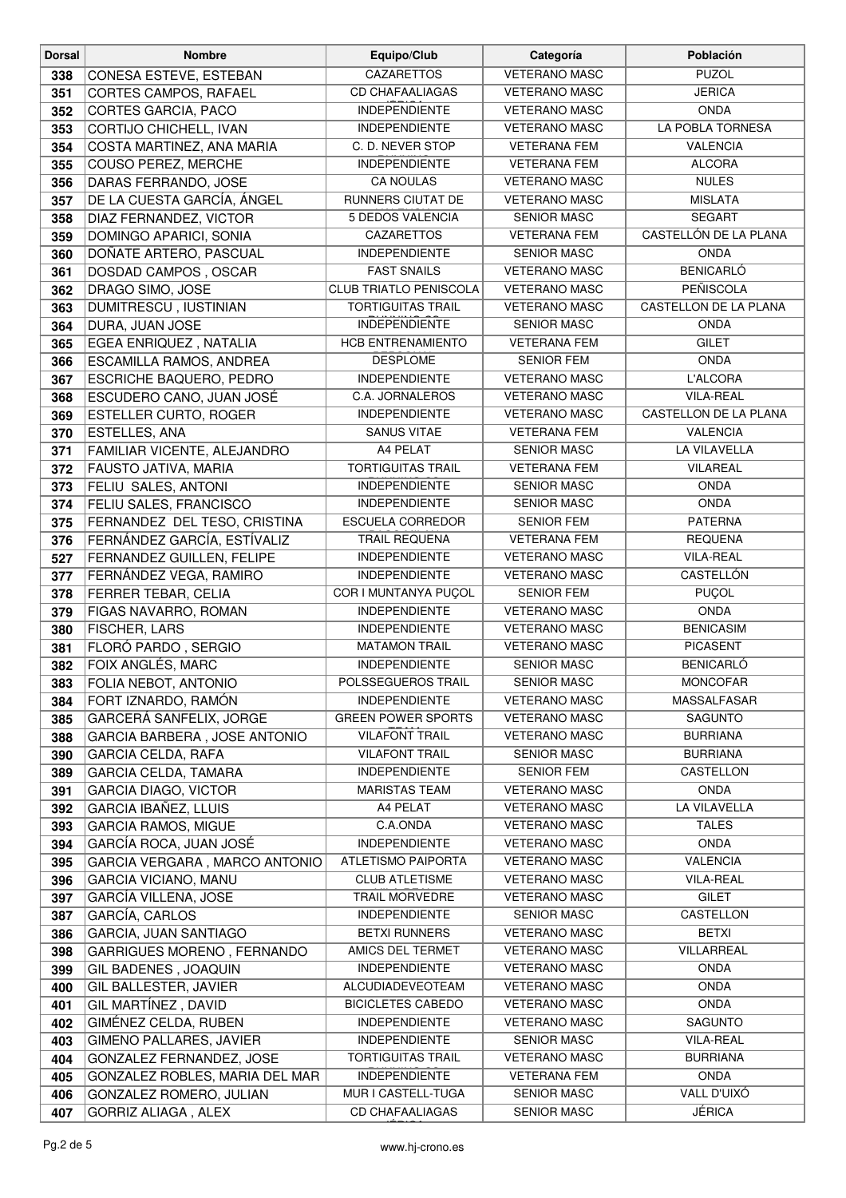| <b>Dorsal</b> | <b>Nombre</b>                       | Equipo/Club                   | Categoría            | Población             |
|---------------|-------------------------------------|-------------------------------|----------------------|-----------------------|
| 338           | CONESA ESTEVE, ESTEBAN              | CAZARETTOS                    | <b>VETERANO MASC</b> | <b>PUZOL</b>          |
| 351           | CORTES CAMPOS, RAFAEL               | <b>CD CHAFAALIAGAS</b>        | <b>VETERANO MASC</b> | <b>JERICA</b>         |
| 352           | CORTES GARCIA, PACO                 | <b>INDEPENDIENTE</b>          | <b>VETERANO MASC</b> | <b>ONDA</b>           |
| 353           | CORTIJO CHICHELL, IVAN              | <b>INDEPENDIENTE</b>          | <b>VETERANO MASC</b> | LA POBLA TORNESA      |
| 354           | COSTA MARTINEZ, ANA MARIA           | C. D. NEVER STOP              | <b>VETERANA FEM</b>  | <b>VALENCIA</b>       |
| 355           | COUSO PEREZ, MERCHE                 | <b>INDEPENDIENTE</b>          | <b>VETERANA FEM</b>  | <b>ALCORA</b>         |
| 356           | DARAS FERRANDO, JOSE                | <b>CA NOULAS</b>              | <b>VETERANO MASC</b> | <b>NULES</b>          |
| 357           | DE LA CUESTA GARCÍA, ÁNGEL          | RUNNERS CIUTAT DE             | <b>VETERANO MASC</b> | <b>MISLATA</b>        |
| 358           | DIAZ FERNANDEZ, VICTOR              | 5 DEDOS VALENCIA              | <b>SENIOR MASC</b>   | <b>SEGART</b>         |
| 359           | DOMINGO APARICI, SONIA              | CAZARETTOS                    | <b>VETERANA FEM</b>  | CASTELLÓN DE LA PLANA |
| 360           | DOÑATE ARTERO, PASCUAL              | <b>INDEPENDIENTE</b>          | <b>SENIOR MASC</b>   | <b>ONDA</b>           |
| 361           | DOSDAD CAMPOS, OSCAR                | <b>FAST SNAILS</b>            | <b>VETERANO MASC</b> | <b>BENICARLÓ</b>      |
| 362           | DRAGO SIMO, JOSE                    | <b>CLUB TRIATLO PENISCOLA</b> | <b>VETERANO MASC</b> | PEÑISCOLA             |
| 363           | DUMITRESCU, IUSTINIAN               | <b>TORTIGUITAS TRAIL</b>      | <b>VETERANO MASC</b> | CASTELLON DE LA PLANA |
| 364           | DURA, JUAN JOSE                     | <b>INDEPENDIENTE</b>          | <b>SENIOR MASC</b>   | <b>ONDA</b>           |
| 365           | EGEA ENRIQUEZ, NATALIA              | <b>HCB ENTRENAMIENTO</b>      | <b>VETERANA FEM</b>  | <b>GILET</b>          |
| 366           | ESCAMILLA RAMOS, ANDREA             | <b>DESPLOME</b>               | <b>SENIOR FEM</b>    | <b>ONDA</b>           |
| 367           | ESCRICHE BAQUERO, PEDRO             | <b>INDEPENDIENTE</b>          | <b>VETERANO MASC</b> | L'ALCORA              |
| 368           | ESCUDERO CANO, JUAN JOSÉ            | C.A. JORNALEROS               | <b>VETERANO MASC</b> | <b>VILA-REAL</b>      |
| 369           | ESTELLER CURTO, ROGER               | <b>INDEPENDIENTE</b>          | <b>VETERANO MASC</b> | CASTELLON DE LA PLANA |
| 370           | ESTELLES, ANA                       | <b>SANUS VITAE</b>            | <b>VETERANA FEM</b>  | <b>VALENCIA</b>       |
| 371           | FAMILIAR VICENTE, ALEJANDRO         | A4 PELAT                      | <b>SENIOR MASC</b>   | LA VILAVELLA          |
| 372           | FAUSTO JATIVA, MARIA                | <b>TORTIGUITAS TRAIL</b>      | <b>VETERANA FEM</b>  | VILAREAL              |
| 373           | FELIU SALES, ANTONI                 | <b>INDEPENDIENTE</b>          | <b>SENIOR MASC</b>   | <b>ONDA</b>           |
| 374           | FELIU SALES, FRANCISCO              | <b>INDEPENDIENTE</b>          | <b>SENIOR MASC</b>   | <b>ONDA</b>           |
| 375           | FERNANDEZ DEL TESO, CRISTINA        | <b>ESCUELA CORREDOR</b>       | <b>SENIOR FEM</b>    | <b>PATERNA</b>        |
| 376           | FERNÁNDEZ GARCÍA, ESTÍVALIZ         | TRAIL REQUENA                 | <b>VETERANA FEM</b>  | <b>REQUENA</b>        |
| 527           | FERNANDEZ GUILLEN, FELIPE           | <b>INDEPENDIENTE</b>          | <b>VETERANO MASC</b> | <b>VILA-REAL</b>      |
| 377           | FERNÁNDEZ VEGA, RAMIRO              | <b>INDEPENDIENTE</b>          | <b>VETERANO MASC</b> | CASTELLÓN             |
| 378           | FERRER TEBAR, CELIA                 | COR I MUNTANYA PUÇOL          | <b>SENIOR FEM</b>    | PUÇOL                 |
| 379           | FIGAS NAVARRO, ROMAN                | <b>INDEPENDIENTE</b>          | <b>VETERANO MASC</b> | <b>ONDA</b>           |
| 380           | FISCHER, LARS                       | <b>INDEPENDIENTE</b>          | <b>VETERANO MASC</b> | <b>BENICASIM</b>      |
| 381           | FLORÓ PARDO, SERGIO                 | <b>MATAMON TRAIL</b>          | <b>VETERANO MASC</b> | <b>PICASENT</b>       |
| 382           | FOIX ANGLÉS, MARC                   | <b>INDEPENDIENTE</b>          | <b>SENIOR MASC</b>   | <b>BENICARLÓ</b>      |
| 383           | <b>FOLIA NEBOT, ANTONIO</b>         | <b>POLSSEGUEROS TRAIL</b>     | <b>SENIOR MASC</b>   | <b>MONCOFAR</b>       |
| 384           | FORT IZNARDO, RAMÓN                 | <b>INDEPENDIENTE</b>          | <b>VETERANO MASC</b> | MASSALFASAR           |
| 385           | GARCERÁ SANFELIX, JORGE             | <b>GREEN POWER SPORTS</b>     | <b>VETERANO MASC</b> | <b>SAGUNTO</b>        |
| 388           | <b>GARCIA BARBERA, JOSE ANTONIO</b> | <b>VILAFONT TRAIL</b>         | <b>VETERANO MASC</b> | <b>BURRIANA</b>       |
| 390           | <b>GARCIA CELDA, RAFA</b>           | <b>VILAFONT TRAIL</b>         | <b>SENIOR MASC</b>   | <b>BURRIANA</b>       |
| 389           | <b>GARCIA CELDA, TAMARA</b>         | <b>INDEPENDIENTE</b>          | <b>SENIOR FEM</b>    | CASTELLON             |
| 391           | <b>GARCIA DIAGO, VICTOR</b>         | <b>MARISTAS TEAM</b>          | <b>VETERANO MASC</b> | <b>ONDA</b>           |
| 392           | <b>GARCIA IBAÑEZ, LLUIS</b>         | A4 PELAT                      | <b>VETERANO MASC</b> | LA VILAVELLA          |
| 393           | <b>GARCIA RAMOS, MIGUE</b>          | C.A.ONDA                      | <b>VETERANO MASC</b> | <b>TALES</b>          |
| 394           | GARCÍA ROCA, JUAN JOSÉ              | <b>INDEPENDIENTE</b>          | <b>VETERANO MASC</b> | <b>ONDA</b>           |
| 395           | GARCIA VERGARA, MARCO ANTONIO       | <b>ATLETISMO PAIPORTA</b>     | <b>VETERANO MASC</b> | <b>VALENCIA</b>       |
| 396           | <b>GARCIA VICIANO, MANU</b>         | <b>CLUB ATLETISME</b>         | <b>VETERANO MASC</b> | <b>VILA-REAL</b>      |
| 397           | <b>GARCÍA VILLENA, JOSE</b>         | TRAIL MORVEDRE                | <b>VETERANO MASC</b> | <b>GILET</b>          |
| 387           | GARCÍA, CARLOS                      | <b>INDEPENDIENTE</b>          | <b>SENIOR MASC</b>   | CASTELLON             |
| 386           | GARCIA, JUAN SANTIAGO               | <b>BETXI RUNNERS</b>          | <b>VETERANO MASC</b> | <b>BETXI</b>          |
| 398           | GARRIGUES MORENO, FERNANDO          | AMICS DEL TERMET              | <b>VETERANO MASC</b> | VILLARREAL            |
| 399           | GIL BADENES, JOAQUIN                | <b>INDEPENDIENTE</b>          | <b>VETERANO MASC</b> | <b>ONDA</b>           |
| 400           | GIL BALLESTER, JAVIER               | ALCUDIADEVEOTEAM              | <b>VETERANO MASC</b> | <b>ONDA</b>           |
| 401           | GIL MARTÍNEZ, DAVID                 | <b>BICICLETES CABEDO</b>      | <b>VETERANO MASC</b> | ONDA                  |
| 402           | GIMÉNEZ CELDA, RUBEN                | <b>INDEPENDIENTE</b>          | <b>VETERANO MASC</b> | SAGUNTO               |
| 403           | GIMENO PALLARES, JAVIER             | <b>INDEPENDIENTE</b>          | <b>SENIOR MASC</b>   | <b>VILA-REAL</b>      |
| 404           | GONZALEZ FERNANDEZ, JOSE            | <b>TORTIGUITAS TRAIL</b>      | <b>VETERANO MASC</b> | <b>BURRIANA</b>       |
| 405           | GONZALEZ ROBLES, MARIA DEL MAR      | <b>INDEPENDIENTE</b>          | <b>VETERANA FEM</b>  | <b>ONDA</b>           |
| 406           | GONZALEZ ROMERO, JULIAN             | MUR I CASTELL-TUGA            | <b>SENIOR MASC</b>   | VALL D'UIXÓ           |
| 407           | GORRIZ ALIAGA, ALEX                 | <b>CD CHAFAALIAGAS</b>        | <b>SENIOR MASC</b>   | <b>JÉRICA</b>         |
|               |                                     |                               |                      |                       |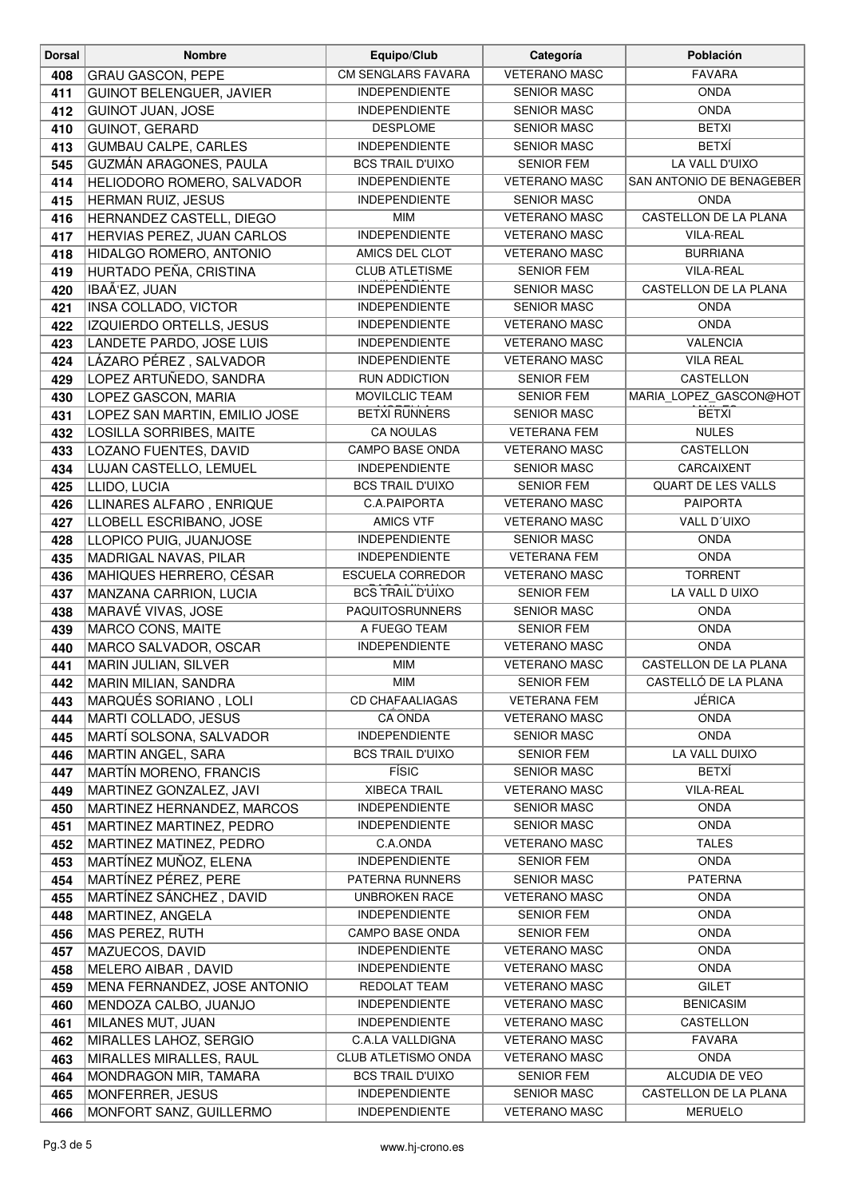| <b>Dorsal</b> | <b>Nombre</b>                                         | Equipo/Club                      | Categoría                                  | Población                    |
|---------------|-------------------------------------------------------|----------------------------------|--------------------------------------------|------------------------------|
| 408           | <b>GRAU GASCON, PEPE</b>                              | <b>CM SENGLARS FAVARA</b>        | <b>VETERANO MASC</b>                       | <b>FAVARA</b>                |
| 411           | GUINOT BELENGUER, JAVIER                              | <b>INDEPENDIENTE</b>             | <b>SENIOR MASC</b>                         | <b>ONDA</b>                  |
| 412           | <b>GUINOT JUAN, JOSE</b>                              | <b>INDEPENDIENTE</b>             | <b>SENIOR MASC</b>                         | <b>ONDA</b>                  |
| 410           | GUINOT, GERARD                                        | <b>DESPLOME</b>                  | <b>SENIOR MASC</b>                         | <b>BETXI</b>                 |
| 413           | <b>GUMBAU CALPE, CARLES</b>                           | <b>INDEPENDIENTE</b>             | <b>SENIOR MASC</b>                         | <b>BETXÍ</b>                 |
| 545           | GUZMÁN ARAGONES, PAULA                                | <b>BCS TRAIL D'UIXO</b>          | <b>SENIOR FEM</b>                          | LA VALL D'UIXO               |
| 414           | HELIODORO ROMERO, SALVADOR                            | <b>INDEPENDIENTE</b>             | <b>VETERANO MASC</b>                       | SAN ANTONIO DE BENAGEBER     |
| 415           | HERMAN RUIZ, JESUS                                    | <b>INDEPENDIENTE</b>             | <b>SENIOR MASC</b>                         | <b>ONDA</b>                  |
| 416           | HERNANDEZ CASTELL, DIEGO                              | MIM                              | <b>VETERANO MASC</b>                       | CASTELLON DE LA PLANA        |
| 417           | HERVIAS PEREZ, JUAN CARLOS                            | <b>INDEPENDIENTE</b>             | <b>VETERANO MASC</b>                       | <b>VILA-REAL</b>             |
| 418           | HIDALGO ROMERO, ANTONIO                               | AMICS DEL CLOT                   | <b>VETERANO MASC</b>                       | <b>BURRIANA</b>              |
| 419           | HURTADO PEÑA, CRISTINA                                | <b>CLUB ATLETISME</b>            | <b>SENIOR FEM</b>                          | <b>VILA-REAL</b>             |
| 420           | IBAÃ'EZ, JUAN                                         | <b>INDEPENDIENTE</b>             | <b>SENIOR MASC</b>                         | CASTELLON DE LA PLANA        |
| 421           | INSA COLLADO, VICTOR                                  | <b>INDEPENDIENTE</b>             | <b>SENIOR MASC</b>                         | <b>ONDA</b>                  |
| 422           | IZQUIERDO ORTELLS, JESUS                              | <b>INDEPENDIENTE</b>             | <b>VETERANO MASC</b>                       | <b>ONDA</b>                  |
| 423           | LANDETE PARDO, JOSE LUIS                              | <b>INDEPENDIENTE</b>             | <b>VETERANO MASC</b>                       | <b>VALENCIA</b>              |
| 424           | LÁZARO PÉREZ, SALVADOR                                | <b>INDEPENDIENTE</b>             | <b>VETERANO MASC</b>                       | <b>VILA REAL</b>             |
| 429           | LOPEZ ARTUÑEDO, SANDRA                                | <b>RUN ADDICTION</b>             | <b>SENIOR FEM</b>                          | <b>CASTELLON</b>             |
| 430           | LOPEZ GASCON, MARIA                                   | MOVILCLIC TEAM                   | <b>SENIOR FEM</b>                          | MARIA_LOPEZ_GASCON@HOT       |
| 431           | LOPEZ SAN MARTIN, EMILIO JOSE                         | <b>BETXI RUNNERS</b>             | <b>SENIOR MASC</b>                         | <b>BETXI</b>                 |
| 432           | <b>LOSILLA SORRIBES, MAITE</b>                        | <b>CA NOULAS</b>                 | <b>VETERANA FEM</b>                        | <b>NULES</b>                 |
| 433           | LOZANO FUENTES, DAVID                                 | <b>CAMPO BASE ONDA</b>           | <b>VETERANO MASC</b>                       | <b>CASTELLON</b>             |
| 434           | LUJAN CASTELLO, LEMUEL                                | <b>INDEPENDIENTE</b>             | <b>SENIOR MASC</b>                         | CARCAIXENT                   |
| 425           | LLIDO, LUCIA                                          | <b>BCS TRAIL D'UIXO</b>          | <b>SENIOR FEM</b>                          | QUART DE LES VALLS           |
| 426           | LLINARES ALFARO, ENRIQUE                              | C.A.PAIPORTA                     | <b>VETERANO MASC</b>                       | <b>PAIPORTA</b>              |
| 427           | LLOBELL ESCRIBANO, JOSE                               | <b>AMICS VTF</b>                 | <b>VETERANO MASC</b>                       | VALL D'UIXO                  |
| 428           | LLOPICO PUIG, JUANJOSE                                | <b>INDEPENDIENTE</b>             | <b>SENIOR MASC</b>                         | <b>ONDA</b>                  |
| 435           | MADRIGAL NAVAS, PILAR                                 | <b>INDEPENDIENTE</b>             | <b>VETERANA FEM</b>                        | <b>ONDA</b>                  |
| 436           | MAHIQUES HERRERO, CÉSAR                               | <b>ESCUELA CORREDOR</b>          | <b>VETERANO MASC</b>                       | <b>TORRENT</b>               |
| 437           | MANZANA CARRION, LUCIA                                | <b>BCS TRAIL D'UIXO</b>          | <b>SENIOR FEM</b>                          | LA VALL D UIXO               |
| 438           | MARAVÉ VIVAS, JOSE                                    | PAQUITOSRUNNERS                  | <b>SENIOR MASC</b>                         | <b>ONDA</b>                  |
| 439           | MARCO CONS, MAITE                                     | A FUEGO TEAM                     | SENIOR FEM                                 | <b>ONDA</b>                  |
| 440           | MARCO SALVADOR, OSCAR                                 | <b>INDEPENDIENTE</b>             | <b>VETERANO MASC</b>                       | <b>ONDA</b>                  |
| 441           | MARIN JULIAN, SILVER                                  | <b>MIM</b>                       | <b>VETERANO MASC</b>                       | CASTELLON DE LA PLANA        |
| 442           | MARIN MILIAN, SANDRA                                  | MIM                              | <b>SENIOR FEM</b>                          | CASTELLÓ DE LA PLANA         |
| 443           | MARQUÉS SORIANO, LOLI                                 | <b>CD CHAFAALIAGAS</b>           | <b>VETERANA FEM</b>                        | JÉRICA                       |
| 444           | MARTI COLLADO, JESUS                                  | <b>CA ONDA</b>                   | <b>VETERANO MASC</b>                       | <b>ONDA</b>                  |
| 445           | MARTÍ SOLSONA, SALVADOR                               | <b>INDEPENDIENTE</b>             | <b>SENIOR MASC</b>                         | <b>ONDA</b><br>LA VALL DUIXO |
| 446           | <b>MARTIN ANGEL, SARA</b>                             | <b>BCS TRAIL D'UIXO</b><br>FÍSIC | <b>SENIOR FEM</b>                          | BETXÍ                        |
| 447           | <b>MARTÍN MORENO, FRANCIS</b>                         | <b>XIBECA TRAIL</b>              | <b>SENIOR MASC</b><br><b>VETERANO MASC</b> | <b>VILA-REAL</b>             |
| 449<br>450    | MARTINEZ GONZALEZ, JAVI<br>MARTINEZ HERNANDEZ, MARCOS | <b>INDEPENDIENTE</b>             | <b>SENIOR MASC</b>                         | <b>ONDA</b>                  |
| 451           | MARTINEZ MARTINEZ, PEDRO                              | <b>INDEPENDIENTE</b>             | <b>SENIOR MASC</b>                         | <b>ONDA</b>                  |
| 452           | MARTINEZ MATINEZ, PEDRO                               | C.A.ONDA                         | <b>VETERANO MASC</b>                       | <b>TALES</b>                 |
| 453           | MARTÍNEZ MUÑOZ, ELENA                                 | <b>INDEPENDIENTE</b>             | <b>SENIOR FEM</b>                          | <b>ONDA</b>                  |
| 454           | MARTÍNEZ PÉREZ, PERE                                  | PATERNA RUNNERS                  | <b>SENIOR MASC</b>                         | <b>PATERNA</b>               |
| 455           | MARTÍNEZ SÁNCHEZ, DAVID                               | UNBROKEN RACE                    | <b>VETERANO MASC</b>                       | <b>ONDA</b>                  |
| 448           | MARTINEZ, ANGELA                                      | <b>INDEPENDIENTE</b>             | <b>SENIOR FEM</b>                          | <b>ONDA</b>                  |
| 456           | MAS PEREZ, RUTH                                       | <b>CAMPO BASE ONDA</b>           | <b>SENIOR FEM</b>                          | <b>ONDA</b>                  |
| 457           | MAZUECOS, DAVID                                       | <b>INDEPENDIENTE</b>             | <b>VETERANO MASC</b>                       | <b>ONDA</b>                  |
| 458           | MELERO AIBAR, DAVID                                   | <b>INDEPENDIENTE</b>             | <b>VETERANO MASC</b>                       | <b>ONDA</b>                  |
| 459           | MENA FERNANDEZ, JOSE ANTONIO                          | REDOLAT TEAM                     | <b>VETERANO MASC</b>                       | <b>GILET</b>                 |
| 460           | MENDOZA CALBO, JUANJO                                 | <b>INDEPENDIENTE</b>             | <b>VETERANO MASC</b>                       | <b>BENICASIM</b>             |
| 461           | MILANES MUT, JUAN                                     | <b>INDEPENDIENTE</b>             | <b>VETERANO MASC</b>                       | CASTELLON                    |
| 462           | MIRALLES LAHOZ, SERGIO                                | <b>C.A.LA VALLDIGNA</b>          | <b>VETERANO MASC</b>                       | <b>FAVARA</b>                |
| 463           | MIRALLES MIRALLES, RAUL                               | <b>CLUB ATLETISMO ONDA</b>       | <b>VETERANO MASC</b>                       | ONDA                         |
| 464           | MONDRAGON MIR, TAMARA                                 | <b>BCS TRAIL D'UIXO</b>          | <b>SENIOR FEM</b>                          | ALCUDIA DE VEO               |
| 465           | MONFERRER, JESUS                                      | <b>INDEPENDIENTE</b>             | <b>SENIOR MASC</b>                         | CASTELLON DE LA PLANA        |
| 466           | MONFORT SANZ, GUILLERMO                               | <b>INDEPENDIENTE</b>             | <b>VETERANO MASC</b>                       | <b>MERUELO</b>               |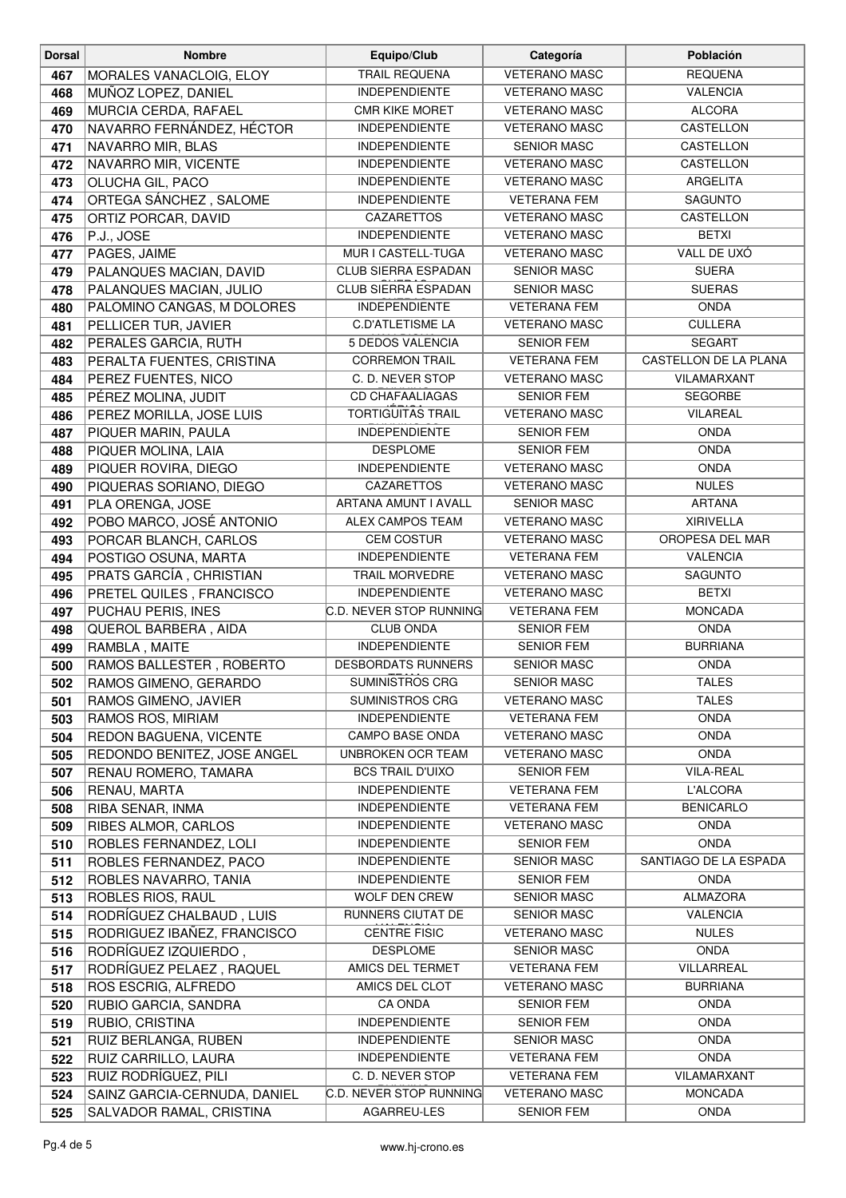| <b>Dorsal</b> | <b>Nombre</b>                        | Equipo/Club                                  | Categoría                                   | Población                       |
|---------------|--------------------------------------|----------------------------------------------|---------------------------------------------|---------------------------------|
| 467           | MORALES VANACLOIG, ELOY              | <b>TRAIL REQUENA</b>                         | <b>VETERANO MASC</b>                        | <b>REQUENA</b>                  |
| 468           | MUÑOZ LOPEZ, DANIEL                  | <b>INDEPENDIENTE</b>                         | <b>VETERANO MASC</b>                        | <b>VALENCIA</b>                 |
| 469           | MURCIA CERDA, RAFAEL                 | <b>CMR KIKE MORET</b>                        | <b>VETERANO MASC</b>                        | <b>ALCORA</b>                   |
| 470           | NAVARRO FERNÁNDEZ, HÉCTOR            | <b>INDEPENDIENTE</b>                         | <b>VETERANO MASC</b>                        | CASTELLON                       |
| 471           | NAVARRO MIR, BLAS                    | <b>INDEPENDIENTE</b>                         | <b>SENIOR MASC</b>                          | CASTELLON                       |
| 472           | NAVARRO MIR, VICENTE                 | <b>INDEPENDIENTE</b>                         | <b>VETERANO MASC</b>                        | CASTELLON                       |
| 473           | OLUCHA GIL, PACO                     | <b>INDEPENDIENTE</b>                         | <b>VETERANO MASC</b>                        | ARGELITA                        |
| 474           | ORTEGA SÁNCHEZ, SALOME               | <b>INDEPENDIENTE</b>                         | <b>VETERANA FEM</b>                         | SAGUNTO                         |
| 475           | ORTIZ PORCAR, DAVID                  | <b>CAZARETTOS</b>                            | <b>VETERANO MASC</b>                        | CASTELLON                       |
| 476           | P.J., JOSE                           | <b>INDEPENDIENTE</b>                         | <b>VETERANO MASC</b>                        | <b>BETXI</b>                    |
| 477           | PAGES, JAIME                         | MUR I CASTELL-TUGA                           | <b>VETERANO MASC</b>                        | VALL DE UXÓ                     |
| 479           | PALANQUES MACIAN, DAVID              | <b>CLUB SIERRA ESPADAN</b>                   | <b>SENIOR MASC</b>                          | <b>SUERA</b>                    |
| 478           | PALANQUES MACIAN, JULIO              | CLUB SIERRA ESPADAN                          | <b>SENIOR MASC</b>                          | <b>SUERAS</b>                   |
| 480           | PALOMINO CANGAS, M DOLORES           | <b>INDEPENDIENTE</b>                         | <b>VETERANA FEM</b>                         | <b>ONDA</b>                     |
| 481           | PELLICER TUR, JAVIER                 | <b>C.D'ATLETISME LA</b>                      | <b>VETERANO MASC</b>                        | <b>CULLERA</b>                  |
| 482           | PERALES GARCIA, RUTH                 | 5 DEDOS VALENCIA                             | <b>SENIOR FEM</b>                           | <b>SEGART</b>                   |
| 483           | PERALTA FUENTES, CRISTINA            | <b>CORREMON TRAIL</b>                        | <b>VETERANA FEM</b>                         | CASTELLON DE LA PLANA           |
| 484           | PEREZ FUENTES, NICO                  | C. D. NEVER STOP                             | <b>VETERANO MASC</b>                        | VILAMARXANT                     |
| 485           | PÉREZ MOLINA, JUDIT                  | <b>CD CHAFAALIAGAS</b>                       | <b>SENIOR FEM</b>                           | <b>SEGORBE</b>                  |
| 486           | PEREZ MORILLA, JOSE LUIS             | <b>TORTIGUITAS TRAIL</b>                     | <b>VETERANO MASC</b>                        | VILAREAL                        |
| 487           | PIQUER MARIN, PAULA                  | <b>INDEPENDIENTE</b>                         | <b>SENIOR FEM</b>                           | <b>ONDA</b>                     |
| 488           | PIQUER MOLINA, LAIA                  | <b>DESPLOME</b>                              | <b>SENIOR FEM</b>                           | <b>ONDA</b>                     |
| 489           | PIQUER ROVIRA, DIEGO                 | <b>INDEPENDIENTE</b>                         | <b>VETERANO MASC</b>                        | <b>ONDA</b>                     |
| 490           | PIQUERAS SORIANO, DIEGO              | CAZARETTOS                                   | <b>VETERANO MASC</b>                        | <b>NULES</b>                    |
| 491           | PLA ORENGA, JOSE                     | ARTANA AMUNT I AVALL                         | <b>SENIOR MASC</b>                          | <b>ARTANA</b>                   |
| 492           | POBO MARCO, JOSÉ ANTONIO             | <b>ALEX CAMPOS TEAM</b>                      | <b>VETERANO MASC</b>                        | <b>XIRIVELLA</b>                |
| 493           | PORCAR BLANCH, CARLOS                | <b>CEM COSTUR</b>                            | <b>VETERANO MASC</b>                        | OROPESA DEL MAR                 |
| 494           | POSTIGO OSUNA, MARTA                 | <b>INDEPENDIENTE</b>                         | <b>VETERANA FEM</b>                         | <b>VALENCIA</b>                 |
| 495           | PRATS GARCÍA, CHRISTIAN              | <b>TRAIL MORVEDRE</b>                        | <b>VETERANO MASC</b>                        | SAGUNTO                         |
| 496           | PRETEL QUILES, FRANCISCO             | <b>INDEPENDIENTE</b>                         | <b>VETERANO MASC</b>                        | <b>BETXI</b>                    |
| 497           | PUCHAU PERIS, INES                   | C.D. NEVER STOP RUNNING                      | <b>VETERANA FEM</b>                         | <b>MONCADA</b>                  |
| 498           | QUEROL BARBERA, AIDA                 | <b>CLUB ONDA</b>                             | SENIOR FEM                                  | <b>ONDA</b>                     |
| 499           | RAMBLA, MAITE                        | <b>INDEPENDIENTE</b>                         | <b>SENIOR FEM</b>                           | <b>BURRIANA</b>                 |
| 500           | RAMOS BALLESTER, ROBERTO             | <b>DESBORDATS RUNNERS</b>                    | <b>SENIOR MASC</b>                          | <b>ONDA</b>                     |
| 502           | RAMOS GIMENO, GERARDO                | SUMINISTROS CRG                              | <b>SENIOR MASC</b>                          | <b>TALES</b>                    |
| 501           | RAMOS GIMENO, JAVIER                 | <b>SUMINISTROS CRG</b>                       | <b>VETERANO MASC</b>                        | <b>TALES</b>                    |
| 503           | RAMOS ROS, MIRIAM                    | <b>INDEPENDIENTE</b>                         | <b>VETERANA FEM</b><br><b>VETERANO MASC</b> | <b>ONDA</b>                     |
| 504           | REDON BAGUENA, VICENTE               | <b>CAMPO BASE ONDA</b>                       |                                             | <b>ONDA</b>                     |
| 505           | REDONDO BENITEZ, JOSE ANGEL          | UNBROKEN OCR TEAM<br><b>BCS TRAIL D'UIXO</b> | <b>VETERANO MASC</b><br><b>SENIOR FEM</b>   | <b>ONDA</b><br><b>VILA-REAL</b> |
| 507           | RENAU ROMERO, TAMARA<br>RENAU, MARTA | <b>INDEPENDIENTE</b>                         | <b>VETERANA FEM</b>                         | <b>L'ALCORA</b>                 |
| 506<br>508    | RIBA SENAR, INMA                     | <b>INDEPENDIENTE</b>                         | <b>VETERANA FEM</b>                         | <b>BENICARLO</b>                |
| 509           | RIBES ALMOR, CARLOS                  | <b>INDEPENDIENTE</b>                         | <b>VETERANO MASC</b>                        | <b>ONDA</b>                     |
| 510           | ROBLES FERNANDEZ, LOLI               | <b>INDEPENDIENTE</b>                         | <b>SENIOR FEM</b>                           | <b>ONDA</b>                     |
| 511           | ROBLES FERNANDEZ, PACO               | <b>INDEPENDIENTE</b>                         | <b>SENIOR MASC</b>                          | SANTIAGO DE LA ESPADA           |
| 512           | ROBLES NAVARRO, TANIA                | <b>INDEPENDIENTE</b>                         | <b>SENIOR FEM</b>                           | <b>ONDA</b>                     |
| 513           | ROBLES RIOS, RAUL                    | <b>WOLF DEN CREW</b>                         | <b>SENIOR MASC</b>                          | ALMAZORA                        |
| 514           | RODRÍGUEZ CHALBAUD, LUIS             | RUNNERS CIUTAT DE                            | <b>SENIOR MASC</b>                          | <b>VALENCIA</b>                 |
| 515           | RODRIGUEZ IBAÑEZ, FRANCISCO          | <b>CENTRE FISIC</b>                          | <b>VETERANO MASC</b>                        | <b>NULES</b>                    |
| 516           | RODRÍGUEZ IZQUIERDO,                 | <b>DESPLOME</b>                              | <b>SENIOR MASC</b>                          | <b>ONDA</b>                     |
| 517           | RODRÍGUEZ PELAEZ, RAQUEL             | AMICS DEL TERMET                             | <b>VETERANA FEM</b>                         | VILLARREAL                      |
| 518           | ROS ESCRIG, ALFREDO                  | AMICS DEL CLOT                               | <b>VETERANO MASC</b>                        | <b>BURRIANA</b>                 |
| 520           | RUBIO GARCIA, SANDRA                 | CA ONDA                                      | <b>SENIOR FEM</b>                           | <b>ONDA</b>                     |
| 519           | RUBIO, CRISTINA                      | <b>INDEPENDIENTE</b>                         | <b>SENIOR FEM</b>                           | <b>ONDA</b>                     |
| 521           | RUIZ BERLANGA, RUBEN                 | <b>INDEPENDIENTE</b>                         | <b>SENIOR MASC</b>                          | <b>ONDA</b>                     |
| 522           | RUIZ CARRILLO, LAURA                 | <b>INDEPENDIENTE</b>                         | <b>VETERANA FEM</b>                         | <b>ONDA</b>                     |
| 523           | RUIZ RODRÍGUEZ, PILI                 | C. D. NEVER STOP                             | <b>VETERANA FEM</b>                         | VILAMARXANT                     |
| 524           | SAINZ GARCIA-CERNUDA, DANIEL         | C.D. NEVER STOP RUNNING                      | <b>VETERANO MASC</b>                        | <b>MONCADA</b>                  |
| 525           | SALVADOR RAMAL, CRISTINA             | AGARREU-LES                                  | <b>SENIOR FEM</b>                           | <b>ONDA</b>                     |